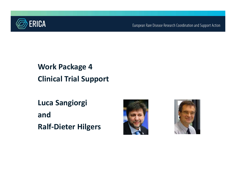

European Rare Disease Research Coordination and Support Action

### Work Package 4 Clinical Trial Support

Luca Sangiorgi and Ralf-Dieter Hilgers



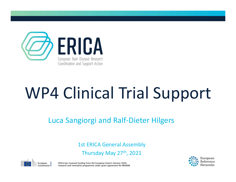

### WP4 Clinical Trial Support

Luca Sangiorgi and Ralf-Dieter Hilgers

1st ERICA General Assembly Thursday May 27<sup>th</sup>, 2021



ERICA has received funding from the European Union's Horizon 2020 research and innovation programme under grant agreement No 964908

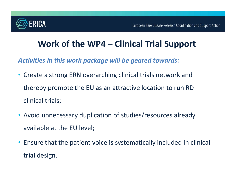# European Rare Disease Research Coordination and Support Action<br>Work of the WP4 — Clinical Trial Support<br>ies in this work package will be geared towards:

Activities in this work package will be geared towards:

- Create a strong ERN overarching clinical trials network and thereby promote the EU as an attractive location to run RD clinical trials;
- Avoid unnecessary duplication of studies/resources already available at the EU level;
- Ensure that the patient voice is systematically included in clinical trial design.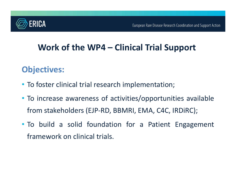# European Rare Disease Research Coordination and Support Action<br>Work of the WP4 — Clinical Trial Support<br>Pectives:

### Objectives:

- 
- To foster clinical trial research implementation;<br>• To foster clinical trial research implementation;<br>• To increase awareness of activities/opportunities available **ENDA**<br> **Work of the WP4 – Clinical Trial Support**<br> **Objectives:**<br>
• To increase awareness of activities/opportunities available<br>
from stakeholders (EJP-RD, BBMRI, EMA, C4C, IRDIRC); **Work of the WP4 – Clinical Trial Support<br>bjectives:**<br>To foster clinical trial research implementation;<br>To increase awareness of activities/opportunities available<br>from stakeholders (EJP-RD, BBMRI, EMA, C4C, IRDIRC);<br>To bu • To foster clinical trial research implementation;<br>• To increase awareness of activities/opportunities available<br>from stakeholders (EJP-RD, BBMRI, EMA, C4C, IRDIRC);<br>• To build a solid foundation for a Patient Engagement<br> **bjectives:**<br>To foster clinical trial research implementation;<br>To increase awareness of activities/opportunities aver<br>from stakeholders (EJP-RD, BBMRI, EMA, C4C, IRDiRC<br>To build a solid foundation for a Patient Engag<br>frame
-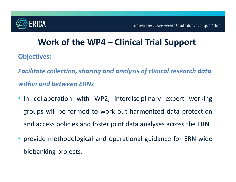

# European Rare Disease Research Coordination and Support Action<br>Work of the WP4 — Clinical Trial Support<br>ives:

Objectives:

Facilitate collection, sharing and analysis of clinical research data within and between ERNs

- In the WP4 Clinical Trial Support<br>Digectives:<br>Facilitate collection, sharing and analysis of clinical research data<br>within and between ERNs<br>• In collaboration with WP2, interdisciplinary expert working<br>groups will be f Work of the WP4 – Clinical Trial Support<br>bjectives:<br>criticate collection, sharing and analysis of clinical research data<br>ithin and between ERNs<br>In collaboration with WP2, interdisciplinary expert working<br>groups will be for bjectives:<br>*and ithin and between ERNs*<br>in collaboration with WP2, interdisciplinary expert working<br>groups will be formed to work out harmonized data protection<br>and access policies and foster joint data analyses across the Facilitate collection, sharing and analysis of clinical research data<br>
• In collaboration with WP2, interdisciplinary expert working<br>
• In collaboration with WP2, interdisciplinary expert working<br>
• groups will be formed t **ithin and between ERNs**<br>In collaboration with WP2, interdisciplina<br>groups will be formed to work out harmoni:<br>and access policies and foster joint data analy<br>provide methodological and operational guid<br>biobanking projects
-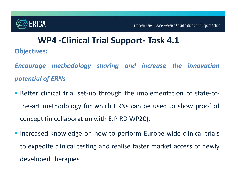# European Rare Disease Research Coordination and Support Action<br>WP4 -Clinical Trial Support- Task 4.1<br>Ves:

Objectives:

ENICA<br>
ERICA<br>
WP4 -Clinical Trial Support- Task 4.1<br>
Encourage methodology sharing and increase the innovation<br>
potential of ERNs **1997 ERICA**<br> **ERICA**<br> **ERICA**<br> **ENDA**<br> **ENDA**<br> **ENDA**<br> **ENDA**<br> **CONTAING**<br> **ENDA**<br> **ENDA**<br> **ENDA**<br> **ENDA**<br> **ENDAING**<br> **ENDAING**<br> **ENDAING**<br> **ENDAING**<br> **ENDAING**<br> **ENDAING**<br> **ENDAING**<br> **POTERING**<br> **POTERING**<br> **POTERING**<br>

- FRICA<br>
 Better Clinical Trial Support Task 4.1<br>
 Better clinical trial set-up through the implementation of state-of-<br>
 Better clinical trial set-up through the implementation of state-of-<br>
 The-art methodology for w WP4 **-Clinical Trial Support- Task 4.1**<br>bjectives:<br>ncourage methodology sharing and increase the innovation<br>ptential of ERNs<br>Better clinical trial set-up through the implementation of state-of-<br>the-art methodology for whic bjectives:<br>
ncourage methodology sharing and increase the innovation<br>
btential of ERNs<br>
Better clinical trial set-up through the implementation of state-of-<br>
the-art methodology for which ERNs can be used to show proof of<br> Fincourage methodology sharing and increase the innovation<br>
• Better clinical trial set-up through the implementation of state-of-<br>
the-art methodology for which ERNs can be used to show proof of<br>
concept (in collaboration
- better clinical trial set-up through the implementation of state-of-<br>the-art methodology for which ERNs can be used to show proof of<br>concept (in collaboration with EJP RD WP20).<br>Increased knowledge on how to perform Europe Better clinical trial set-up through the impl<br>the-art methodology for which ERNs can be<br>concept (in collaboration with EJP RD WP20).<br>Increased knowledge on how to perform Eu<br>to expedite clinical testing and realise faster<br>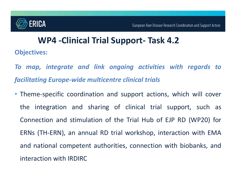

# European Rare Disease Research Coordination and Support Action<br>WP4 -Clinical Trial Support- Task 4.2<br>Ves:

Objectives:

- To map, integrate and link ongoing activities with regards to<br>To map, integrate and link ongoing activities with regards to<br>To map, integrate and link ongoing activities with regards to<br>facilitating Europe-wide multicentre FRICA<br>
WP4 -Clinical Trial Support- Task 4.2<br>
Objectives:<br>
To map, integrate and link ongoing activities with regards to<br>
facilitating Europe-wide multicentre clinical trials<br>
• Theme-specific coordination and support acti
- ERICA<br>• UPP Clinical Trial Support Task 4.2<br>• Objectives:<br>To map, integrate and link ongoing activities with regards to<br>facilitating Europe-wide multicentre clinical trials<br>• Theme-specific coordination and support a WP4 **-Clinical Trial Support- Task 4.2**<br>
bjectives:<br>
p map, integrate and link ongoing activities with regards to<br>
cilitating Europe-wide multicentre clinical trials<br>
Theme-specific coordination and support actions, which bjectives:<br>
I map, integrate and link ongoing activities with regards to<br>
cilitating Europe-wide multicentre clinical trials<br>
Theme-specific coordination and support actions, which will cover<br>
the integration and sharing o map, integrate and link ongoing activities with regards to<br>
cilitating Europe-wide multicentre clinical trials<br>
Theme-specific coordination and support actions, which will cover<br>
the integration and sharing of clinical tri incritional compe-wide multicentre clinical trials<br>Theme-specific coordination and support actions, which will cover<br>the integration and sharing of clinical trial support, such as<br>Connection and stimulation of the Trial Hu Theme-specific coordination and support actions<br>the integration and sharing of clinical trial<br>Connection and stimulation of the Trial Hub of<br>ERNs (TH-ERN), an annual RD trial workshop, int<br>and national competent authoritie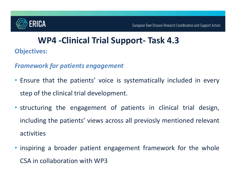

# European Rare Disease Research Coordination and Support Action<br>WP4 -Clinical Trial Support- Task 4.3<br>Ves:

Objectives:

### Framework for patients engagement

- ERICA<br>• ERICA<br>• WP4 -Clinical Trial Support- Task 4.3<br>• Framework for patients' voice is systematically included in every<br>• Ensure that the patients' voice is systematically included in every<br>• step of the clinical trial **Solutionary European Rare Disease Research Coordinary Contains 2015 11:45 UPP 4 - Clinical Trial Support- Task 4.3**<br>bjectives:<br>cannework for patients engagement<br>Ensure that the patients' voice is systematically includ<br>ste
- **WP4 -Clinical Trial Support- Task 4.3**<br> **Character Conservents:**<br>
Framework for patients' voice is systematically included in every<br>
step of the clinical trial development.<br>
 structuring the engagement of patients in cli bjectives:<br> *including tare work for patients'* voice is systematically included in every<br>
step of the clinical trial development.<br> *structuring the engagement of patients* in clinical trial design,<br>
including the patients activities • Ensure that the patients' voice is systematically included in every<br>step of the clinical trial development.<br>• structuring the engagement of patients in clinical trial design,<br>including the patients' views across all prev Step of the clinical trial development.<br>
Structuring the engagement of patients in clinical trial<br>
including the patients' views across all previosly mentioned<br>
activities<br>
inspiring a broader patient engagement framework
-